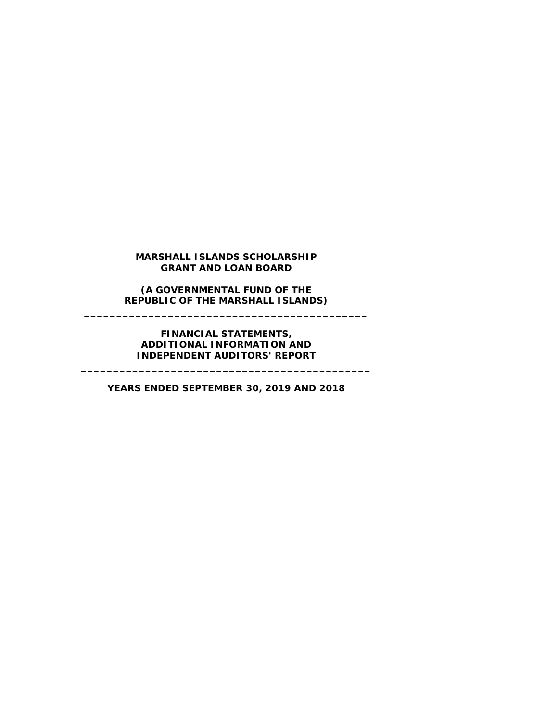**(A GOVERNMENTAL FUND OF THE REPUBLIC OF THE MARSHALL ISLANDS) \_\_\_\_\_\_\_\_\_\_\_\_\_\_\_\_\_\_\_\_\_\_\_\_\_\_\_\_\_\_\_\_\_\_\_\_\_\_\_\_\_\_\_\_**

> **FINANCIAL STATEMENTS, ADDITIONAL INFORMATION AND INDEPENDENT AUDITORS' REPORT**

**\_\_\_\_\_\_\_\_\_\_\_\_\_\_\_\_\_\_\_\_\_\_\_\_\_\_\_\_\_\_\_\_\_\_\_\_\_\_\_\_\_\_\_\_\_**

**YEARS ENDED SEPTEMBER 30, 2019 AND 2018**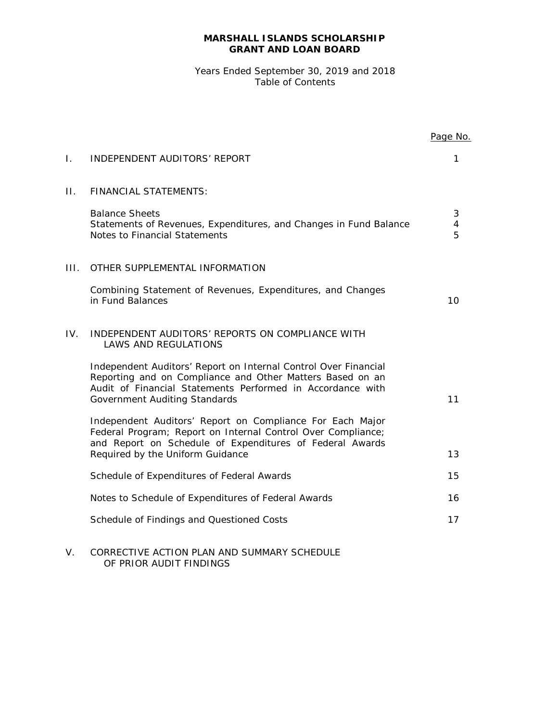Years Ended September 30, 2019 and 2018 Table of Contents

|              |                                                                                                                                                                                                                                    | Page No.    |
|--------------|------------------------------------------------------------------------------------------------------------------------------------------------------------------------------------------------------------------------------------|-------------|
| $\mathbf{L}$ | INDEPENDENT AUDITORS' REPORT                                                                                                                                                                                                       | 1           |
| $\Pi$ .      | <b>FINANCIAL STATEMENTS:</b>                                                                                                                                                                                                       |             |
|              | <b>Balance Sheets</b><br>Statements of Revenues, Expenditures, and Changes in Fund Balance<br>Notes to Financial Statements                                                                                                        | 3<br>4<br>5 |
| HL.          | OTHER SUPPLEMENTAL INFORMATION                                                                                                                                                                                                     |             |
|              | Combining Statement of Revenues, Expenditures, and Changes<br>in Fund Balances                                                                                                                                                     | 10          |
| IV.          | INDEPENDENT AUDITORS' REPORTS ON COMPLIANCE WITH<br>LAWS AND REGULATIONS                                                                                                                                                           |             |
|              | Independent Auditors' Report on Internal Control Over Financial<br>Reporting and on Compliance and Other Matters Based on an<br>Audit of Financial Statements Performed in Accordance with<br><b>Government Auditing Standards</b> | 11          |
|              | Independent Auditors' Report on Compliance For Each Major<br>Federal Program; Report on Internal Control Over Compliance;<br>and Report on Schedule of Expenditures of Federal Awards<br>Required by the Uniform Guidance          | 13          |
|              | Schedule of Expenditures of Federal Awards                                                                                                                                                                                         | 15          |
|              | Notes to Schedule of Expenditures of Federal Awards                                                                                                                                                                                | 16          |
|              | Schedule of Findings and Questioned Costs                                                                                                                                                                                          | 17          |

V. CORRECTIVE ACTION PLAN AND SUMMARY SCHEDULE OF PRIOR AUDIT FINDINGS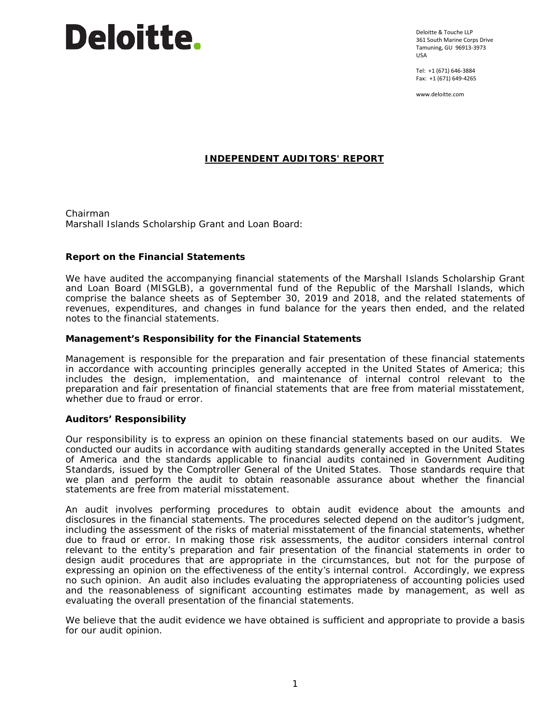# **Deloitte.**

Deloitte & Touche LLP 361 South Marine Corps Drive Tamuning, GU 96913-3973 USA

Tel: +1 (671) 646-3884 Fax: +1 (671) 649-4265

www.deloitte.com

# **INDEPENDENT AUDITORS' REPORT**

Chairman Marshall Islands Scholarship Grant and Loan Board:

#### **Report on the Financial Statements**

We have audited the accompanying financial statements of the Marshall Islands Scholarship Grant and Loan Board (MISGLB), a governmental fund of the Republic of the Marshall Islands, which comprise the balance sheets as of September 30, 2019 and 2018, and the related statements of revenues, expenditures, and changes in fund balance for the years then ended, and the related notes to the financial statements.

#### *Management's Responsibility for the Financial Statements*

Management is responsible for the preparation and fair presentation of these financial statements in accordance with accounting principles generally accepted in the United States of America; this includes the design, implementation, and maintenance of internal control relevant to the preparation and fair presentation of financial statements that are free from material misstatement, whether due to fraud or error.

### *Auditors' Responsibility*

Our responsibility is to express an opinion on these financial statements based on our audits. We conducted our audits in accordance with auditing standards generally accepted in the United States of America and the standards applicable to financial audits contained in *Government Auditing Standards,* issued by the Comptroller General of the United States. Those standards require that we plan and perform the audit to obtain reasonable assurance about whether the financial statements are free from material misstatement.

An audit involves performing procedures to obtain audit evidence about the amounts and disclosures in the financial statements. The procedures selected depend on the auditor's judgment, including the assessment of the risks of material misstatement of the financial statements, whether due to fraud or error. In making those risk assessments, the auditor considers internal control relevant to the entity's preparation and fair presentation of the financial statements in order to design audit procedures that are appropriate in the circumstances, but not for the purpose of expressing an opinion on the effectiveness of the entity's internal control. Accordingly, we express no such opinion. An audit also includes evaluating the appropriateness of accounting policies used and the reasonableness of significant accounting estimates made by management, as well as evaluating the overall presentation of the financial statements.

We believe that the audit evidence we have obtained is sufficient and appropriate to provide a basis for our audit opinion.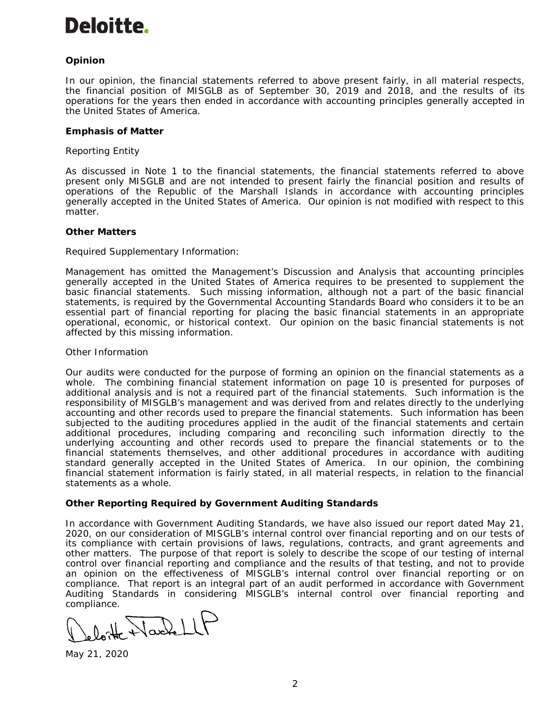# Deloitte.

# *Opinion*

In our opinion, the financial statements referred to above present fairly, in all material respects, the financial position of MISGLB as of September 30, 2019 and 2018, and the results of its operations for the years then ended in accordance with accounting principles generally accepted in the United States of America.

#### *Emphasis of Matter*

#### *Reporting Entity*

As discussed in Note 1 to the financial statements, the financial statements referred to above present only MISGLB and are not intended to present fairly the financial position and results of operations of the Republic of the Marshall Islands in accordance with accounting principles generally accepted in the United States of America. Our opinion is not modified with respect to this matter.

#### *Other Matters*

#### *Required Supplementary Information:*

Management has omitted the Management's Discussion and Analysis that accounting principles generally accepted in the United States of America requires to be presented to supplement the basic financial statements. Such missing information, although not a part of the basic financial statements, is required by the Governmental Accounting Standards Board who considers it to be an essential part of financial reporting for placing the basic financial statements in an appropriate operational, economic, or historical context. Our opinion on the basic financial statements is not affected by this missing information.

#### *Other Information*

Our audits were conducted for the purpose of forming an opinion on the financial statements as a whole. The combining financial statement information on page 10 is presented for purposes of additional analysis and is not a required part of the financial statements. Such information is the responsibility of MISGLB's management and was derived from and relates directly to the underlying accounting and other records used to prepare the financial statements. Such information has been subjected to the auditing procedures applied in the audit of the financial statements and certain additional procedures, including comparing and reconciling such information directly to the underlying accounting and other records used to prepare the financial statements or to the financial statements themselves, and other additional procedures in accordance with auditing standard generally accepted in the United States of America. In our opinion, the combining financial statement information is fairly stated, in all material respects, in relation to the financial statements as a whole.

#### **Other Reporting Required by** *Government Auditing Standards*

In accordance with *Government Auditing Standards*, we have also issued our report dated May 21, 2020, on our consideration of MISGLB's internal control over financial reporting and on our tests of its compliance with certain provisions of laws, regulations, contracts, and grant agreements and other matters. The purpose of that report is solely to describe the scope of our testing of internal control over financial reporting and compliance and the results of that testing, and not to provide an opinion on the effectiveness of MISGLB's internal control over financial reporting or on compliance. That report is an integral part of an audit performed in accordance with *Government Auditing Standards* in considering MISGLB's internal control over financial reporting and compliance.

Wackell

May 21, 2020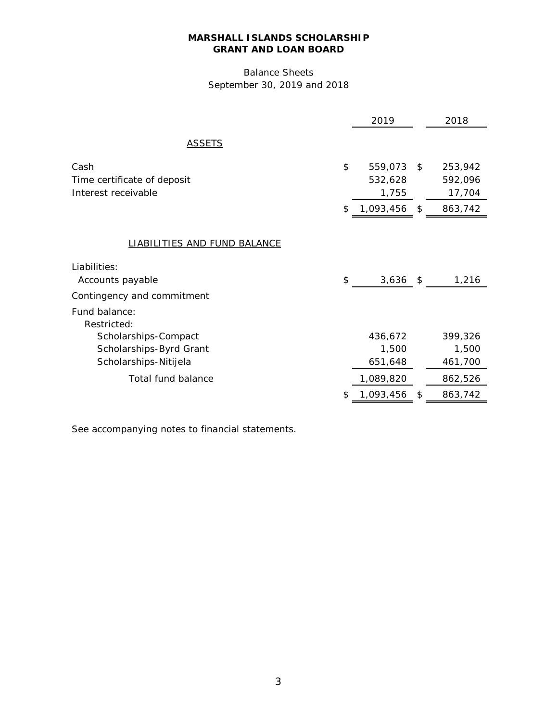# Balance Sheets September 30, 2019 and 2018

|                                                                         | 2019                              | 2018                               |
|-------------------------------------------------------------------------|-----------------------------------|------------------------------------|
| <b>ASSETS</b>                                                           |                                   |                                    |
| Cash<br>Time certificate of deposit<br>Interest receivable              | \$<br>559,073<br>532,628<br>1,755 | \$<br>253,942<br>592,096<br>17,704 |
|                                                                         | \$<br>1,093,456                   | \$<br>863,742                      |
| <b>LIABILITIES AND FUND BALANCE</b><br>Liabilities:<br>Accounts payable | \$<br>$3,636$ \$                  | 1,216                              |
| Contingency and commitment                                              |                                   |                                    |
| Fund balance:<br>Restricted:                                            |                                   |                                    |
| Scholarships-Compact                                                    | 436,672                           | 399,326                            |
| Scholarships-Byrd Grant                                                 | 1,500                             | 1,500                              |
| Scholarships-Nitijela                                                   | 651,648                           | 461,700                            |
| Total fund balance                                                      | 1,089,820                         | 862,526                            |
|                                                                         | 1,093,456                         | \$<br>863,742                      |

See accompanying notes to financial statements.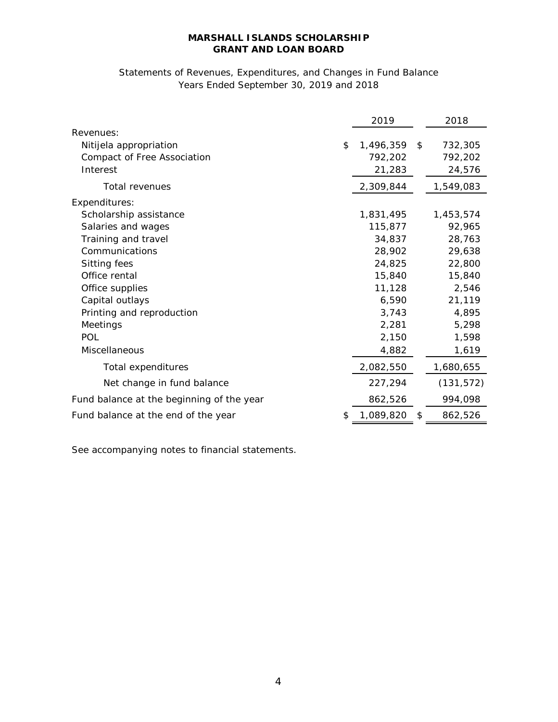# Statements of Revenues, Expenditures, and Changes in Fund Balance Years Ended September 30, 2019 and 2018

|                                           | 2019            | 2018          |
|-------------------------------------------|-----------------|---------------|
| Revenues:                                 |                 |               |
| Nitijela appropriation                    | \$<br>1,496,359 | \$<br>732,305 |
| <b>Compact of Free Association</b>        | 792,202         | 792,202       |
| Interest                                  | 21,283          | 24,576        |
| Total revenues                            | 2,309,844       | 1,549,083     |
| Expenditures:                             |                 |               |
| Scholarship assistance                    | 1,831,495       | 1,453,574     |
| Salaries and wages                        | 115,877         | 92,965        |
| Training and travel                       | 34,837          | 28,763        |
| Communications                            | 28,902          | 29,638        |
| Sitting fees                              | 24,825          | 22,800        |
| Office rental                             | 15,840          | 15,840        |
| Office supplies                           | 11,128          | 2,546         |
| Capital outlays                           | 6,590           | 21,119        |
| Printing and reproduction                 | 3,743           | 4,895         |
| Meetings                                  | 2,281           | 5,298         |
| <b>POL</b>                                | 2,150           | 1,598         |
| Miscellaneous                             | 4,882           | 1,619         |
| Total expenditures                        | 2,082,550       | 1,680,655     |
| Net change in fund balance                | 227,294         | (131, 572)    |
| Fund balance at the beginning of the year | 862,526         | 994,098       |
| Fund balance at the end of the year       | 1,089,820       | \$<br>862,526 |

See accompanying notes to financial statements.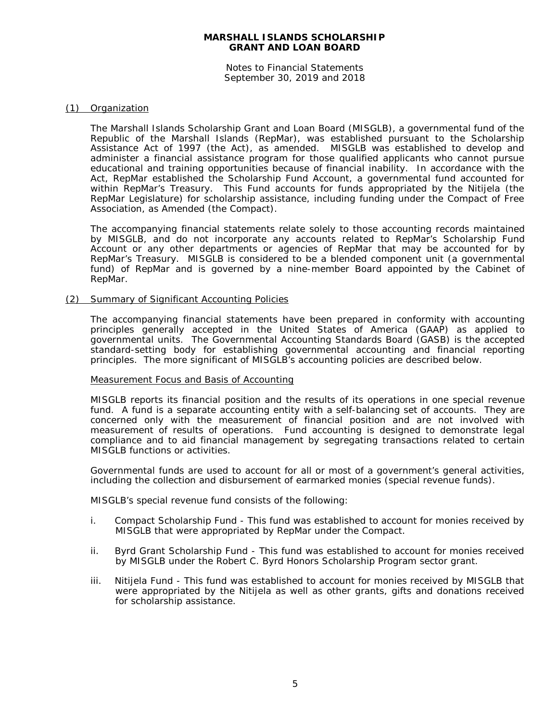Notes to Financial Statements September 30, 2019 and 2018

#### (1) Organization

The Marshall Islands Scholarship Grant and Loan Board (MISGLB), a governmental fund of the Republic of the Marshall Islands (RepMar), was established pursuant to the Scholarship Assistance Act of 1997 (the Act), as amended. MISGLB was established to develop and administer a financial assistance program for those qualified applicants who cannot pursue educational and training opportunities because of financial inability. In accordance with the Act, RepMar established the Scholarship Fund Account, a governmental fund accounted for within RepMar's Treasury. This Fund accounts for funds appropriated by the Nitijela (the RepMar Legislature) for scholarship assistance, including funding under the Compact of Free Association, as Amended (the Compact).

The accompanying financial statements relate solely to those accounting records maintained by MISGLB, and do not incorporate any accounts related to RepMar's Scholarship Fund Account or any other departments or agencies of RepMar that may be accounted for by RepMar's Treasury. MISGLB is considered to be a blended component unit (a governmental fund) of RepMar and is governed by a nine-member Board appointed by the Cabinet of RepMar.

#### (2) Summary of Significant Accounting Policies

The accompanying financial statements have been prepared in conformity with accounting principles generally accepted in the United States of America (GAAP) as applied to governmental units. The Governmental Accounting Standards Board (GASB) is the accepted standard-setting body for establishing governmental accounting and financial reporting principles. The more significant of MISGLB's accounting policies are described below.

#### Measurement Focus and Basis of Accounting

MISGLB reports its financial position and the results of its operations in one special revenue fund. A fund is a separate accounting entity with a self-balancing set of accounts. They are concerned only with the measurement of financial position and are not involved with measurement of results of operations. Fund accounting is designed to demonstrate legal compliance and to aid financial management by segregating transactions related to certain MISGLB functions or activities.

Governmental funds are used to account for all or most of a government's general activities, including the collection and disbursement of earmarked monies (special revenue funds).

MISGLB's special revenue fund consists of the following:

- i. Compact Scholarship Fund This fund was established to account for monies received by MISGLB that were appropriated by RepMar under the Compact.
- ii. Byrd Grant Scholarship Fund This fund was established to account for monies received by MISGLB under the Robert C. Byrd Honors Scholarship Program sector grant.
- iii. Nitijela Fund This fund was established to account for monies received by MISGLB that were appropriated by the Nitijela as well as other grants, gifts and donations received for scholarship assistance.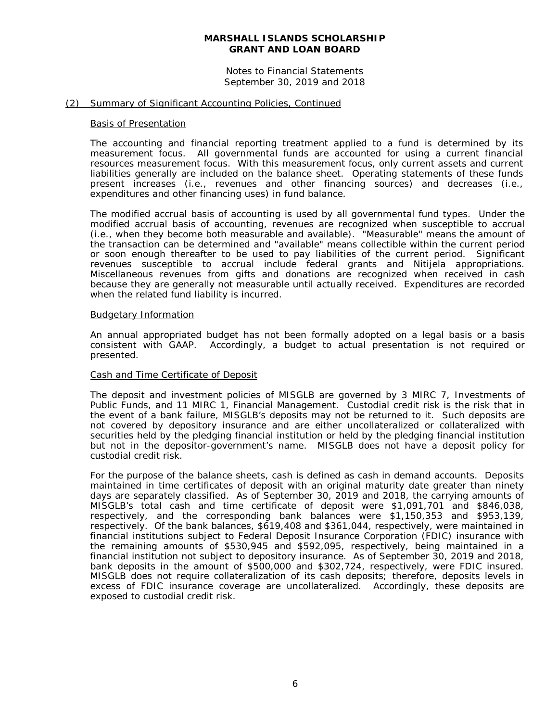Notes to Financial Statements September 30, 2019 and 2018

#### (2) Summary of Significant Accounting Policies, Continued

#### Basis of Presentation

The accounting and financial reporting treatment applied to a fund is determined by its measurement focus. All governmental funds are accounted for using a current financial resources measurement focus. With this measurement focus, only current assets and current liabilities generally are included on the balance sheet. Operating statements of these funds present increases (i.e., revenues and other financing sources) and decreases (i.e., expenditures and other financing uses) in fund balance.

The modified accrual basis of accounting is used by all governmental fund types. Under the modified accrual basis of accounting, revenues are recognized when susceptible to accrual (i.e., when they become both measurable and available). "Measurable" means the amount of the transaction can be determined and "available" means collectible within the current period or soon enough thereafter to be used to pay liabilities of the current period. Significant revenues susceptible to accrual include federal grants and Nitijela appropriations. Miscellaneous revenues from gifts and donations are recognized when received in cash because they are generally not measurable until actually received. Expenditures are recorded when the related fund liability is incurred.

#### Budgetary Information

An annual appropriated budget has not been formally adopted on a legal basis or a basis consistent with GAAP. Accordingly, a budget to actual presentation is not required or presented.

#### Cash and Time Certificate of Deposit

The deposit and investment policies of MISGLB are governed by 3 MIRC 7, *Investments of Public Funds*, and 11 MIRC 1, *Financial Management*. Custodial credit risk is the risk that in the event of a bank failure, MISGLB's deposits may not be returned to it. Such deposits are not covered by depository insurance and are either uncollateralized or collateralized with securities held by the pledging financial institution or held by the pledging financial institution but not in the depositor-government's name. MISGLB does not have a deposit policy for custodial credit risk.

For the purpose of the balance sheets, cash is defined as cash in demand accounts. Deposits maintained in time certificates of deposit with an original maturity date greater than ninety days are separately classified. As of September 30, 2019 and 2018, the carrying amounts of MISGLB's total cash and time certificate of deposit were \$1,091,701 and \$846,038, respectively, and the corresponding bank balances were \$1,150,353 and \$953,139, respectively. Of the bank balances, \$619,408 and \$361,044, respectively, were maintained in financial institutions subject to Federal Deposit Insurance Corporation (FDIC) insurance with the remaining amounts of \$530,945 and \$592,095, respectively, being maintained in a financial institution not subject to depository insurance. As of September 30, 2019 and 2018, bank deposits in the amount of \$500,000 and \$302,724, respectively, were FDIC insured. MISGLB does not require collateralization of its cash deposits; therefore, deposits levels in excess of FDIC insurance coverage are uncollateralized. Accordingly, these deposits are exposed to custodial credit risk.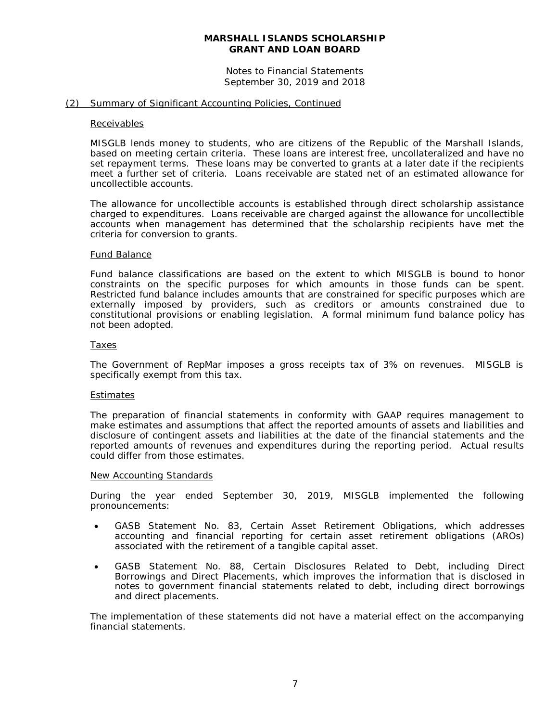Notes to Financial Statements September 30, 2019 and 2018

#### (2) Summary of Significant Accounting Policies, Continued

#### Receivables

MISGLB lends money to students, who are citizens of the Republic of the Marshall Islands, based on meeting certain criteria. These loans are interest free, uncollateralized and have no set repayment terms. These loans may be converted to grants at a later date if the recipients meet a further set of criteria. Loans receivable are stated net of an estimated allowance for uncollectible accounts.

The allowance for uncollectible accounts is established through direct scholarship assistance charged to expenditures. Loans receivable are charged against the allowance for uncollectible accounts when management has determined that the scholarship recipients have met the criteria for conversion to grants.

#### Fund Balance

Fund balance classifications are based on the extent to which MISGLB is bound to honor constraints on the specific purposes for which amounts in those funds can be spent. Restricted fund balance includes amounts that are constrained for specific purposes which are externally imposed by providers, such as creditors or amounts constrained due to constitutional provisions or enabling legislation. A formal minimum fund balance policy has not been adopted.

#### Taxes

The Government of RepMar imposes a gross receipts tax of 3% on revenues. MISGLB is specifically exempt from this tax.

#### **Estimates**

The preparation of financial statements in conformity with GAAP requires management to make estimates and assumptions that affect the reported amounts of assets and liabilities and disclosure of contingent assets and liabilities at the date of the financial statements and the reported amounts of revenues and expenditures during the reporting period. Actual results could differ from those estimates.

#### New Accounting Standards

During the year ended September 30, 2019, MISGLB implemented the following pronouncements:

- GASB Statement No. 83, *Certain Asset Retirement Obligations*, which addresses accounting and financial reporting for certain asset retirement obligations (AROs) associated with the retirement of a tangible capital asset.
- GASB Statement No. 88, *Certain Disclosures Related to Debt, including Direct Borrowings and Direct Placements*, which improves the information that is disclosed in notes to government financial statements related to debt, including direct borrowings and direct placements.

The implementation of these statements did not have a material effect on the accompanying financial statements.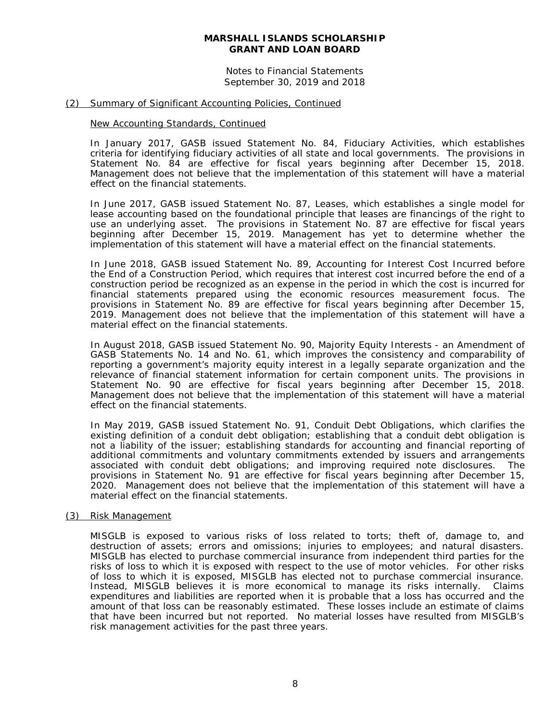Notes to Financial Statements September 30, 2019 and 2018

#### (2) Summary of Significant Accounting Policies, Continued

#### New Accounting Standards, Continued

In January 2017, GASB issued Statement No. 84, *Fiduciary Activities*, which establishes criteria for identifying fiduciary activities of all state and local governments. The provisions in Statement No. 84 are effective for fiscal years beginning after December 15, 2018. Management does not believe that the implementation of this statement will have a material effect on the financial statements.

In June 2017, GASB issued Statement No. 87, *Leases*, which establishes a single model for lease accounting based on the foundational principle that leases are financings of the right to use an underlying asset. The provisions in Statement No. 87 are effective for fiscal years beginning after December 15, 2019. Management has yet to determine whether the implementation of this statement will have a material effect on the financial statements.

In June 2018, GASB issued Statement No. 89, *Accounting for Interest Cost Incurred before the End of a Construction Period*, which requires that interest cost incurred before the end of a construction period be recognized as an expense in the period in which the cost is incurred for financial statements prepared using the economic resources measurement focus. The provisions in Statement No. 89 are effective for fiscal years beginning after December 15, 2019. Management does not believe that the implementation of this statement will have a material effect on the financial statements.

In August 2018, GASB issued Statement No. 90, *Majority Equity Interests - an Amendment of GASB Statements No. 14 and No. 61,* which improves the consistency and comparability of reporting a government's majority equity interest in a legally separate organization and the relevance of financial statement information for certain component units. The provisions in Statement No. 90 are effective for fiscal years beginning after December 15, 2018. Management does not believe that the implementation of this statement will have a material effect on the financial statements.

In May 2019, GASB issued Statement No. 91, *Conduit Debt Obligations*, which clarifies the existing definition of a conduit debt obligation; establishing that a conduit debt obligation is not a liability of the issuer; establishing standards for accounting and financial reporting of additional commitments and voluntary commitments extended by issuers and arrangements associated with conduit debt obligations; and improving required note disclosures. The provisions in Statement No. 91 are effective for fiscal years beginning after December 15, 2020. Management does not believe that the implementation of this statement will have a material effect on the financial statements.

#### (3) Risk Management

MISGLB is exposed to various risks of loss related to torts; theft of, damage to, and destruction of assets; errors and omissions; injuries to employees; and natural disasters. MISGLB has elected to purchase commercial insurance from independent third parties for the risks of loss to which it is exposed with respect to the use of motor vehicles. For other risks of loss to which it is exposed, MISGLB has elected not to purchase commercial insurance. Instead, MISGLB believes it is more economical to manage its risks internally. Claims expenditures and liabilities are reported when it is probable that a loss has occurred and the amount of that loss can be reasonably estimated. These losses include an estimate of claims that have been incurred but not reported. No material losses have resulted from MISGLB's risk management activities for the past three years.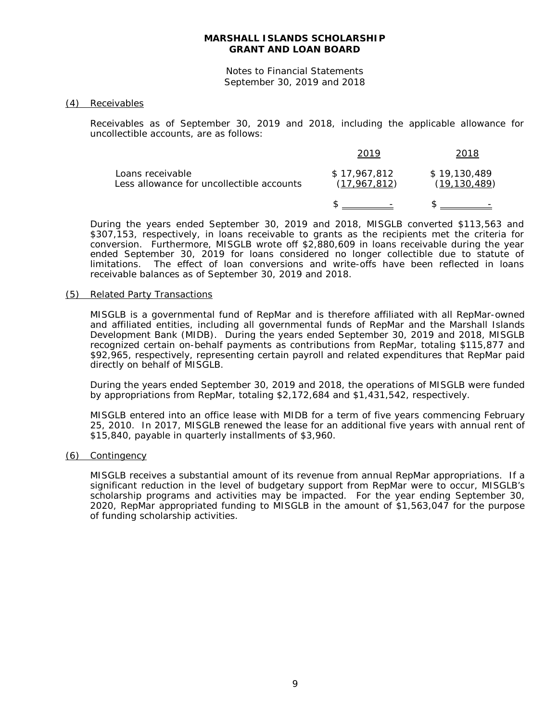Notes to Financial Statements September 30, 2019 and 2018

#### (4) Receivables

Receivables as of September 30, 2019 and 2018, including the applicable allowance for uncollectible accounts, are as follows:

|                                                               | 2019                         | 2018                         |
|---------------------------------------------------------------|------------------------------|------------------------------|
| Loans receivable<br>Less allowance for uncollectible accounts | \$17,967,812<br>(17.967.812) | \$19,130,489<br>(19.130.489) |
|                                                               |                              |                              |

During the years ended September 30, 2019 and 2018, MISGLB converted \$113,563 and \$307,153, respectively, in loans receivable to grants as the recipients met the criteria for conversion. Furthermore, MISGLB wrote off \$2,880,609 in loans receivable during the year ended September 30, 2019 for loans considered no longer collectible due to statute of limitations. The effect of loan conversions and write-offs have been reflected in loans receivable balances as of September 30, 2019 and 2018.

#### (5) Related Party Transactions

MISGLB is a governmental fund of RepMar and is therefore affiliated with all RepMar-owned and affiliated entities, including all governmental funds of RepMar and the Marshall Islands Development Bank (MIDB). During the years ended September 30, 2019 and 2018, MISGLB recognized certain on-behalf payments as contributions from RepMar, totaling \$115,877 and \$92,965, respectively, representing certain payroll and related expenditures that RepMar paid directly on behalf of MISGLB.

During the years ended September 30, 2019 and 2018, the operations of MISGLB were funded by appropriations from RepMar, totaling \$2,172,684 and \$1,431,542, respectively.

MISGLB entered into an office lease with MIDB for a term of five years commencing February 25, 2010. In 2017, MISGLB renewed the lease for an additional five years with annual rent of \$15,840, payable in quarterly installments of \$3,960.

(6) Contingency

MISGLB receives a substantial amount of its revenue from annual RepMar appropriations. If a significant reduction in the level of budgetary support from RepMar were to occur, MISGLB's scholarship programs and activities may be impacted. For the year ending September 30, 2020, RepMar appropriated funding to MISGLB in the amount of \$1,563,047 for the purpose of funding scholarship activities.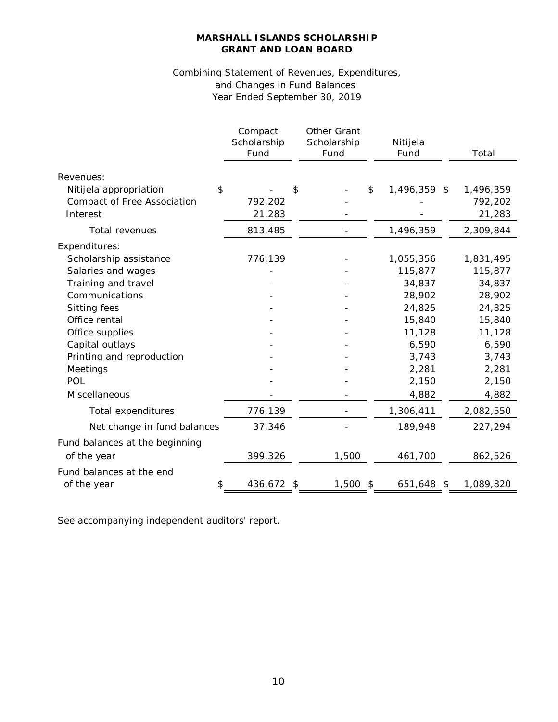# **GRANT AND LOAN BOARD MARSHALL ISLANDS SCHOLARSHIP**

# Combining Statement of Revenues, Expenditures, Year Ended September 30, 2019 and Changes in Fund Balances

|                                    | Compact<br>Scholarship<br>Fund | <b>Other Grant</b><br>Scholarship<br>Fund |     | Nitijela<br>Fund | Total     |
|------------------------------------|--------------------------------|-------------------------------------------|-----|------------------|-----------|
| Revenues:                          |                                |                                           |     |                  |           |
| Nitijela appropriation             | \$<br>\$                       |                                           | \$. | 1,496,359<br>\$  | 1,496,359 |
| <b>Compact of Free Association</b> | 792,202                        |                                           |     |                  | 792,202   |
| Interest                           | 21,283                         |                                           |     |                  | 21,283    |
| Total revenues                     | 813,485                        |                                           |     | 1,496,359        | 2,309,844 |
| Expenditures:                      |                                |                                           |     |                  |           |
| Scholarship assistance             | 776,139                        |                                           |     | 1,055,356        | 1,831,495 |
| Salaries and wages                 |                                |                                           |     | 115,877          | 115,877   |
| Training and travel                |                                |                                           |     | 34,837           | 34,837    |
| Communications                     |                                |                                           |     | 28,902           | 28,902    |
| Sitting fees                       |                                |                                           |     | 24,825           | 24,825    |
| Office rental                      |                                |                                           |     | 15,840           | 15,840    |
| Office supplies                    |                                |                                           |     | 11,128           | 11,128    |
| Capital outlays                    |                                |                                           |     | 6,590            | 6,590     |
| Printing and reproduction          |                                |                                           |     | 3,743            | 3,743     |
| Meetings                           |                                |                                           |     | 2,281            | 2,281     |
| <b>POL</b>                         |                                |                                           |     | 2,150            | 2,150     |
| Miscellaneous                      |                                |                                           |     | 4,882            | 4,882     |
| Total expenditures                 | 776,139                        |                                           |     | 1,306,411        | 2,082,550 |
| Net change in fund balances        | 37,346                         |                                           |     | 189,948          | 227,294   |
| Fund balances at the beginning     |                                |                                           |     |                  |           |
| of the year                        | 399,326                        | 1,500                                     |     | 461,700          | 862,526   |
| Fund balances at the end           |                                |                                           |     |                  |           |
| of the year                        | \$<br>436,672 \$               | $1,500$ \$                                |     | 651,648 \$       | 1,089,820 |

See accompanying independent auditors' report.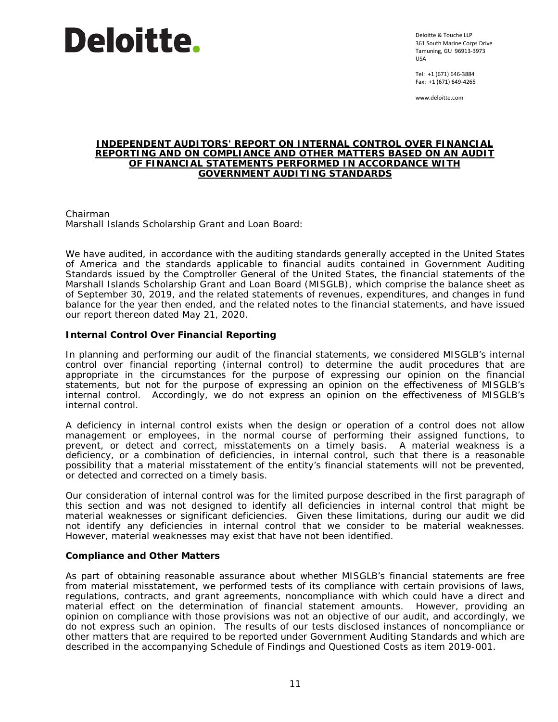

Deloitte & Touche LLP 361 South Marine Corps Drive Tamuning, GU 96913-3973 USA

Tel: +1 (671) 646-3884 Fax: +1 (671) 649-4265

www.deloitte.com

#### **INDEPENDENT AUDITORS' REPORT ON INTERNAL CONTROL OVER FINANCIAL REPORTING AND ON COMPLIANCE AND OTHER MATTERS BASED ON AN AUDIT OF FINANCIAL STATEMENTS PERFORMED IN ACCORDANCE WITH**  *GOVERNMENT AUDITING STANDARDS*

Chairman Marshall Islands Scholarship Grant and Loan Board:

We have audited, in accordance with the auditing standards generally accepted in the United States of America and the standards applicable to financial audits contained in *Government Auditing Standards* issued by the Comptroller General of the United States, the financial statements of the Marshall Islands Scholarship Grant and Loan Board (MISGLB), which comprise the balance sheet as of September 30, 2019, and the related statements of revenues, expenditures, and changes in fund balance for the year then ended, and the related notes to the financial statements, and have issued our report thereon dated May 21, 2020.

#### **Internal Control Over Financial Reporting**

In planning and performing our audit of the financial statements, we considered MISGLB's internal control over financial reporting (internal control) to determine the audit procedures that are appropriate in the circumstances for the purpose of expressing our opinion on the financial statements, but not for the purpose of expressing an opinion on the effectiveness of MISGLB's internal control. Accordingly, we do not express an opinion on the effectiveness of MISGLB's internal control.

A *deficiency in internal control* exists when the design or operation of a control does not allow management or employees, in the normal course of performing their assigned functions, to prevent, or detect and correct, misstatements on a timely basis. A *material weakness* is a deficiency, or a combination of deficiencies, in internal control, such that there is a reasonable possibility that a material misstatement of the entity's financial statements will not be prevented, or detected and corrected on a timely basis.

Our consideration of internal control was for the limited purpose described in the first paragraph of this section and was not designed to identify all deficiencies in internal control that might be material weaknesses or significant deficiencies. Given these limitations, during our audit we did not identify any deficiencies in internal control that we consider to be material weaknesses. However, material weaknesses may exist that have not been identified.

#### **Compliance and Other Matters**

As part of obtaining reasonable assurance about whether MISGLB's financial statements are free from material misstatement, we performed tests of its compliance with certain provisions of laws, regulations, contracts, and grant agreements, noncompliance with which could have a direct and material effect on the determination of financial statement amounts. However, providing an opinion on compliance with those provisions was not an objective of our audit, and accordingly, we do not express such an opinion. The results of our tests disclosed instances of noncompliance or other matters that are required to be reported under *Government Auditing Standards* and which are described in the accompanying Schedule of Findings and Questioned Costs as item 2019-001.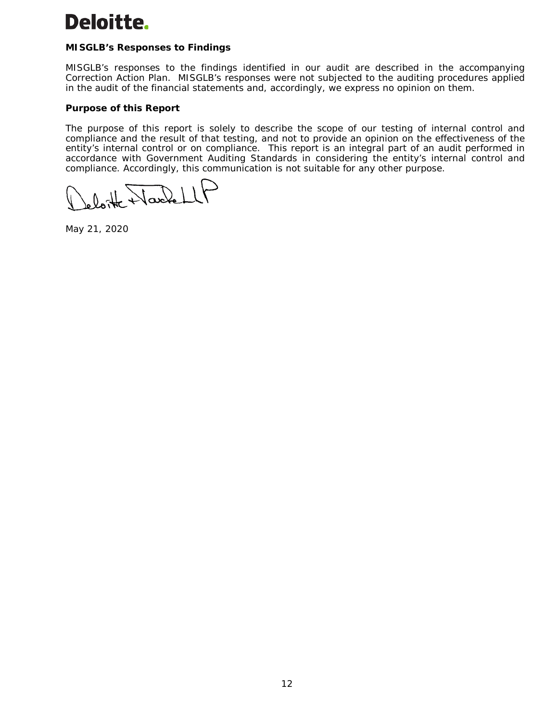# **Deloitte.**

# **MISGLB's Responses to Findings**

MISGLB's responses to the findings identified in our audit are described in the accompanying Correction Action Plan. MISGLB's responses were not subjected to the auditing procedures applied in the audit of the financial statements and, accordingly, we express no opinion on them.

# **Purpose of this Report**

The purpose of this report is solely to describe the scope of our testing of internal control and compliance and the result of that testing, and not to provide an opinion on the effectiveness of the entity's internal control or on compliance. This report is an integral part of an audit performed in accordance with *Government Auditing Standards* in considering the entity's internal control and compliance. Accordingly, this communication is not suitable for any other purpose.

Lack

May 21, 2020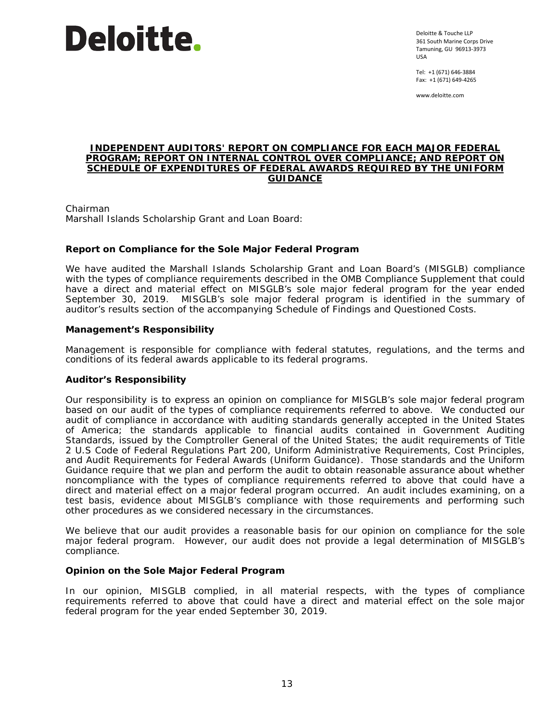

Deloitte & Touche LLP 361 South Marine Corps Drive Tamuning, GU 96913-3973 USA

Tel: +1 (671) 646-3884 Fax: +1 (671) 649-4265

www.deloitte.com

#### **INDEPENDENT AUDITORS' REPORT ON COMPLIANCE FOR EACH MAJOR FEDERAL PROGRAM; REPORT ON INTERNAL CONTROL OVER COMPLIANCE; AND REPORT ON SCHEDULE OF EXPENDITURES OF FEDERAL AWARDS REQUIRED BY THE UNIFORM GUIDANCE**

Chairman Marshall Islands Scholarship Grant and Loan Board:

#### **Report on Compliance for the Sole Major Federal Program**

We have audited the Marshall Islands Scholarship Grant and Loan Board's (MISGLB) compliance with the types of compliance requirements described in the *OMB Compliance Supplement* that could have a direct and material effect on MISGLB's sole major federal program for the year ended September 30, 2019. MISGLB's sole major federal program is identified in the summary of auditor's results section of the accompanying Schedule of Findings and Questioned Costs.

#### *Management's Responsibility*

Management is responsible for compliance with federal statutes, regulations, and the terms and conditions of its federal awards applicable to its federal programs.

#### *Auditor's Responsibility*

Our responsibility is to express an opinion on compliance for MISGLB's sole major federal program based on our audit of the types of compliance requirements referred to above. We conducted our audit of compliance in accordance with auditing standards generally accepted in the United States of America; the standards applicable to financial audits contained in *Government Auditing Standards*, issued by the Comptroller General of the United States; the audit requirements of Title 2 U.S *Code of Federal Regulations* Part 200, *Uniform Administrative Requirements, Cost Principles, and Audit Requirements for Federal Awards* (Uniform Guidance). Those standards and the Uniform Guidance require that we plan and perform the audit to obtain reasonable assurance about whether noncompliance with the types of compliance requirements referred to above that could have a direct and material effect on a major federal program occurred. An audit includes examining, on a test basis, evidence about MISGLB's compliance with those requirements and performing such other procedures as we considered necessary in the circumstances.

We believe that our audit provides a reasonable basis for our opinion on compliance for the sole major federal program. However, our audit does not provide a legal determination of MISGLB's compliance.

#### *Opinion on the Sole Major Federal Program*

In our opinion, MISGLB complied, in all material respects, with the types of compliance requirements referred to above that could have a direct and material effect on the sole major federal program for the year ended September 30, 2019.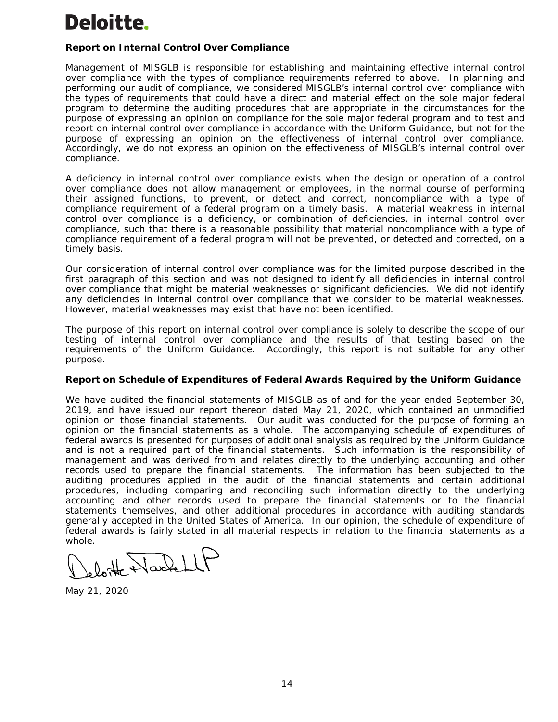# Deloitte.

# **Report on Internal Control Over Compliance**

Management of MISGLB is responsible for establishing and maintaining effective internal control over compliance with the types of compliance requirements referred to above. In planning and performing our audit of compliance, we considered MISGLB's internal control over compliance with the types of requirements that could have a direct and material effect on the sole major federal program to determine the auditing procedures that are appropriate in the circumstances for the purpose of expressing an opinion on compliance for the sole major federal program and to test and report on internal control over compliance in accordance with the Uniform Guidance, but not for the purpose of expressing an opinion on the effectiveness of internal control over compliance. Accordingly, we do not express an opinion on the effectiveness of MISGLB's internal control over compliance.

A *deficiency in internal control over compliance* exists when the design or operation of a control over compliance does not allow management or employees, in the normal course of performing their assigned functions, to prevent, or detect and correct, noncompliance with a type of compliance requirement of a federal program on a timely basis. A *material weakness in internal control over compliance* is a deficiency, or combination of deficiencies, in internal control over compliance, such that there is a reasonable possibility that material noncompliance with a type of compliance requirement of a federal program will not be prevented, or detected and corrected, on a timely basis.

Our consideration of internal control over compliance was for the limited purpose described in the first paragraph of this section and was not designed to identify all deficiencies in internal control over compliance that might be material weaknesses or significant deficiencies. We did not identify any deficiencies in internal control over compliance that we consider to be material weaknesses. However, material weaknesses may exist that have not been identified.

The purpose of this report on internal control over compliance is solely to describe the scope of our testing of internal control over compliance and the results of that testing based on the requirements of the Uniform Guidance. Accordingly, this report is not suitable for any other purpose.

#### **Report on Schedule of Expenditures of Federal Awards Required by the Uniform Guidance**

We have audited the financial statements of MISGLB as of and for the year ended September 30, 2019, and have issued our report thereon dated May 21, 2020, which contained an unmodified opinion on those financial statements. Our audit was conducted for the purpose of forming an opinion on the financial statements as a whole. The accompanying schedule of expenditures of federal awards is presented for purposes of additional analysis as required by the Uniform Guidance and is not a required part of the financial statements. Such information is the responsibility of management and was derived from and relates directly to the underlying accounting and other records used to prepare the financial statements. The information has been subjected to the auditing procedures applied in the audit of the financial statements and certain additional procedures, including comparing and reconciling such information directly to the underlying accounting and other records used to prepare the financial statements or to the financial statements themselves, and other additional procedures in accordance with auditing standards generally accepted in the United States of America. In our opinion, the schedule of expenditure of federal awards is fairly stated in all material respects in relation to the financial statements as a whole.

loite Harlell

May 21, 2020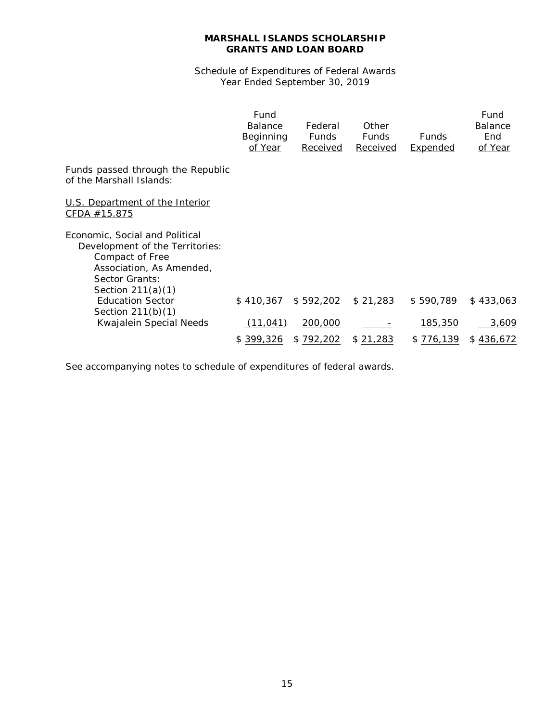Schedule of Expenditures of Federal Awards Year Ended September 30, 2019

|                                                                                                                                                           | Fund<br><b>Balance</b><br>Beginning<br>of Year | Federal<br><b>Funds</b><br><b>Received</b> | Other<br><b>Funds</b><br><b>Received</b> | Funds<br>Expended | Fund<br><b>Balance</b><br>End<br>of Year |
|-----------------------------------------------------------------------------------------------------------------------------------------------------------|------------------------------------------------|--------------------------------------------|------------------------------------------|-------------------|------------------------------------------|
| Funds passed through the Republic<br>of the Marshall Islands:                                                                                             |                                                |                                            |                                          |                   |                                          |
| U.S. Department of the Interior<br>CFDA #15.875                                                                                                           |                                                |                                            |                                          |                   |                                          |
| Economic, Social and Political<br>Development of the Territories:<br>Compact of Free<br>Association, As Amended,<br>Sector Grants:<br>Section $211(a)(1)$ |                                                |                                            |                                          |                   |                                          |
| <b>Education Sector</b><br>Section $211(b)(1)$                                                                                                            |                                                | $$410,367$ $$592,202$                      | \$21,283                                 | \$590,789         | \$433,063                                |
| Kwajalein Special Needs                                                                                                                                   | (11, 041)                                      | 200,000                                    |                                          | 185,350           | 3,609                                    |
|                                                                                                                                                           | \$399,326                                      | \$792,202                                  | \$21,283                                 | \$ 776,139        | \$436,672                                |

See accompanying notes to schedule of expenditures of federal awards.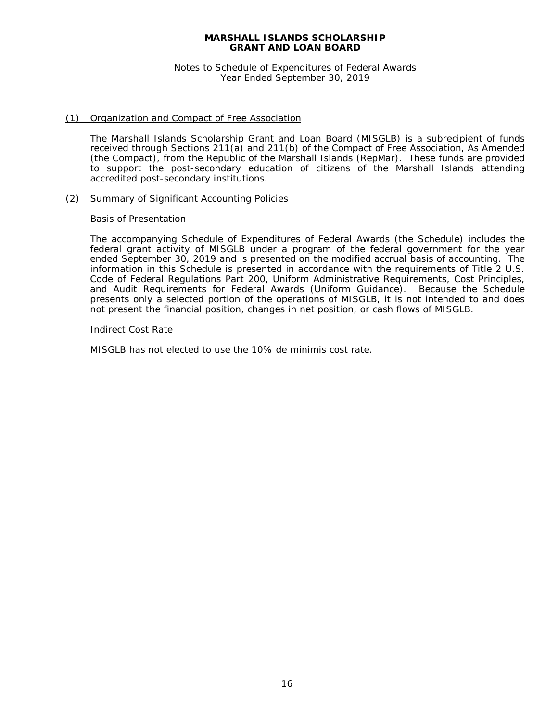Notes to Schedule of Expenditures of Federal Awards Year Ended September 30, 2019

#### (1) Organization and Compact of Free Association

The Marshall Islands Scholarship Grant and Loan Board (MISGLB) is a subrecipient of funds received through Sections 211(a) and 211(b) of the Compact of Free Association, As Amended (the Compact), from the Republic of the Marshall Islands (RepMar). These funds are provided to support the post-secondary education of citizens of the Marshall Islands attending accredited post-secondary institutions.

#### (2) Summary of Significant Accounting Policies

#### Basis of Presentation

The accompanying Schedule of Expenditures of Federal Awards (the Schedule) includes the federal grant activity of MISGLB under a program of the federal government for the year ended September 30, 2019 and is presented on the modified accrual basis of accounting. The information in this Schedule is presented in accordance with the requirements of Title 2 U.S. *Code of Federal Regulations* Part 200, *Uniform Administrative Requirements, Cost Principles, and Audit Requirements for Federal Awards* (Uniform Guidance). Because the Schedule presents only a selected portion of the operations of MISGLB, it is not intended to and does not present the financial position, changes in net position, or cash flows of MISGLB.

#### Indirect Cost Rate

MISGLB has not elected to use the 10% de minimis cost rate.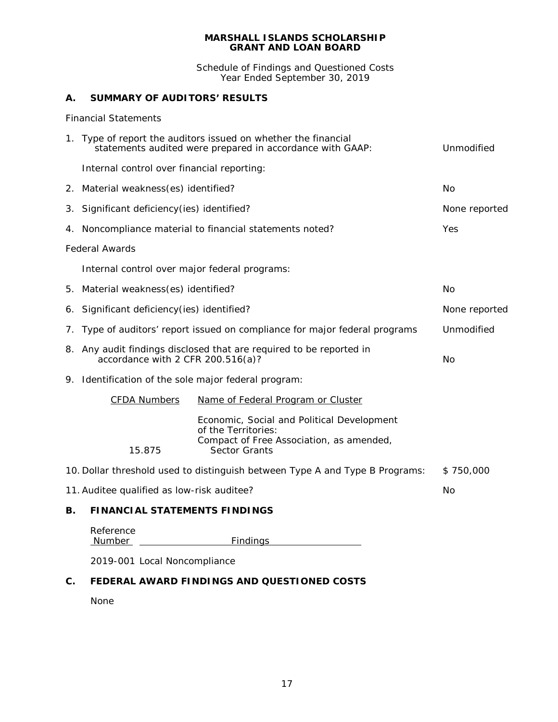Schedule of Findings and Questioned Costs Year Ended September 30, 2019

# **A. SUMMARY OF AUDITORS' RESULTS**

#### *Financial Statements*

| 1. | Type of report the auditors issued on whether the financial<br>statements audited were prepared in accordance with GAAP:<br>Unmodified |                                                                                                                                       |               |  |  |  |
|----|----------------------------------------------------------------------------------------------------------------------------------------|---------------------------------------------------------------------------------------------------------------------------------------|---------------|--|--|--|
|    | Internal control over financial reporting:                                                                                             |                                                                                                                                       |               |  |  |  |
|    | 2. Material weakness(es) identified?                                                                                                   | No                                                                                                                                    |               |  |  |  |
| 3. | Significant deficiency(ies) identified?                                                                                                |                                                                                                                                       | None reported |  |  |  |
|    |                                                                                                                                        | 4. Noncompliance material to financial statements noted?                                                                              | Yes           |  |  |  |
|    | <b>Federal Awards</b>                                                                                                                  |                                                                                                                                       |               |  |  |  |
|    | Internal control over major federal programs:                                                                                          |                                                                                                                                       |               |  |  |  |
|    | 5. Material weakness(es) identified?                                                                                                   |                                                                                                                                       | No            |  |  |  |
| 6. | Significant deficiency(ies) identified?                                                                                                |                                                                                                                                       | None reported |  |  |  |
| 7. |                                                                                                                                        | Type of auditors' report issued on compliance for major federal programs                                                              | Unmodified    |  |  |  |
|    | 8. Any audit findings disclosed that are required to be reported in<br>accordance with 2 CFR 200.516(a)?<br>No                         |                                                                                                                                       |               |  |  |  |
|    | 9. Identification of the sole major federal program:                                                                                   |                                                                                                                                       |               |  |  |  |
|    | <b>CFDA Numbers</b>                                                                                                                    | Name of Federal Program or Cluster                                                                                                    |               |  |  |  |
|    | 15.875                                                                                                                                 | Economic, Social and Political Development<br>of the Territories:<br>Compact of Free Association, as amended,<br><b>Sector Grants</b> |               |  |  |  |
|    |                                                                                                                                        | 10. Dollar threshold used to distinguish between Type A and Type B Programs:                                                          | \$750,000     |  |  |  |
|    | 11. Auditee qualified as low-risk auditee?                                                                                             |                                                                                                                                       | No            |  |  |  |
| В. | <b>FINANCIAL STATEMENTS FINDINGS</b>                                                                                                   |                                                                                                                                       |               |  |  |  |
|    | Reference<br>Number                                                                                                                    | <b>Findings</b>                                                                                                                       |               |  |  |  |
|    | 2019-001 Local Noncompliance                                                                                                           |                                                                                                                                       |               |  |  |  |
|    |                                                                                                                                        |                                                                                                                                       |               |  |  |  |

# **C. FEDERAL AWARD FINDINGS AND QUESTIONED COSTS**

None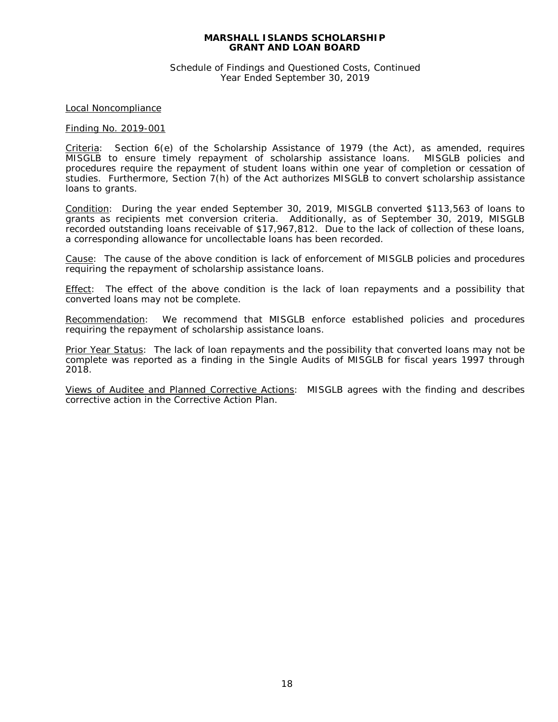Schedule of Findings and Questioned Costs, Continued Year Ended September 30, 2019

#### Local Noncompliance

#### Finding No. 2019-001

Criteria: Section 6(e) of the Scholarship Assistance of 1979 (the Act), as amended, requires MISGLB to ensure timely repayment of scholarship assistance loans. MISGLB policies and procedures require the repayment of student loans within one year of completion or cessation of studies. Furthermore, Section 7(h) of the Act authorizes MISGLB to convert scholarship assistance loans to grants.

Condition: During the year ended September 30, 2019, MISGLB converted \$113,563 of loans to grants as recipients met conversion criteria. Additionally, as of September 30, 2019, MISGLB recorded outstanding loans receivable of \$17,967,812. Due to the lack of collection of these loans, a corresponding allowance for uncollectable loans has been recorded.

Cause: The cause of the above condition is lack of enforcement of MISGLB policies and procedures requiring the repayment of scholarship assistance loans.

Effect: The effect of the above condition is the lack of loan repayments and a possibility that converted loans may not be complete.

Recommendation: We recommend that MISGLB enforce established policies and procedures requiring the repayment of scholarship assistance loans.

Prior Year Status: The lack of loan repayments and the possibility that converted loans may not be complete was reported as a finding in the Single Audits of MISGLB for fiscal years 1997 through 2018.

Views of Auditee and Planned Corrective Actions: MISGLB agrees with the finding and describes corrective action in the Corrective Action Plan.